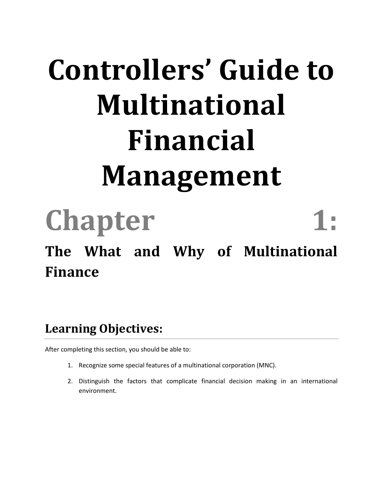# **Controllers' Guide to Multinational Financial Management**

**Chapter 1: The What and Why of Multinational Finance**

#### **Learning Objectives:**

- 1. Recognize some special features of a multinational corporation (MNC).
- 2. Distinguish the factors that complicate financial decision making in an international environment.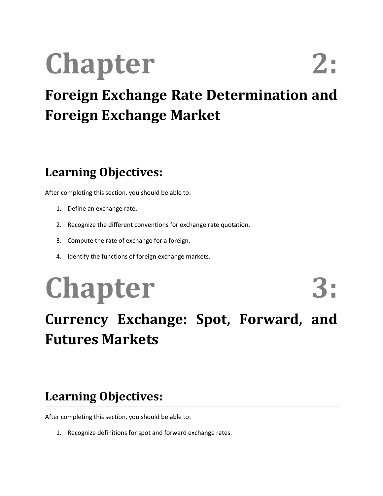# **Chapter**

### **Foreign Exchange Rate Determination and Foreign Exchange Market**

#### **Learning Objectives:**

After completing this section, you should be able to:

- 1. Define an exchange rate.
- 2. Recognize the different conventions for exchange rate quotation.
- 3. Compute the rate of exchange for a foreign.
- 4. Identify the functions of foreign exchange markets.

## **Chapter 3:**

### **Currency Exchange: Spot, Forward, and Futures Markets**

#### **Learning Objectives:**

After completing this section, you should be able to:

1. Recognize definitions for spot and forward exchange rates.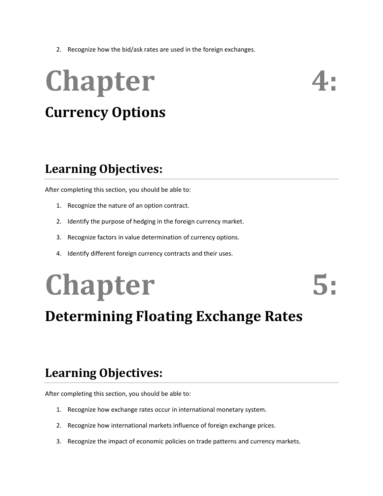2. Recognize how the bid/ask rates are used in the foreign exchanges.

## **Chapter Currency Options**

#### **Learning Objectives:**

After completing this section, you should be able to:

- 1. Recognize the nature of an option contract.
- 2. Identify the purpose of hedging in the foreign currency market.
- 3. Recognize factors in value determination of currency options.
- 4. Identify different foreign currency contracts and their uses.

## **Chapter 5:**

### **Determining Floating Exchange Rates**

#### **Learning Objectives:**

- 1. Recognize how exchange rates occur in international monetary system.
- 2. Recognize how international markets influence of foreign exchange prices.
- 3. Recognize the impact of economic policies on trade patterns and currency markets.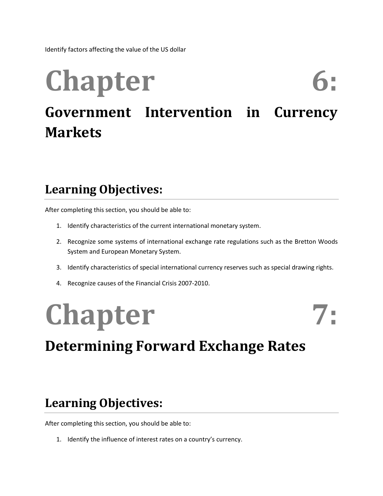Identify factors affecting the value of the US dollar

### **Chapter Government Intervention in Currency Markets**

#### **Learning Objectives:**

After completing this section, you should be able to:

- 1. Identify characteristics of the current international monetary system.
- 2. Recognize some systems of international exchange rate regulations such as the Bretton Woods System and European Monetary System.
- 3. Identify characteristics of special international currency reserves such as special drawing rights.
- 4. Recognize causes of the Financial Crisis 2007-2010.

## Chapter 7:

### **Determining Forward Exchange Rates**

#### **Learning Objectives:**

After completing this section, you should be able to:

1. Identify the influence of interest rates on a country's currency.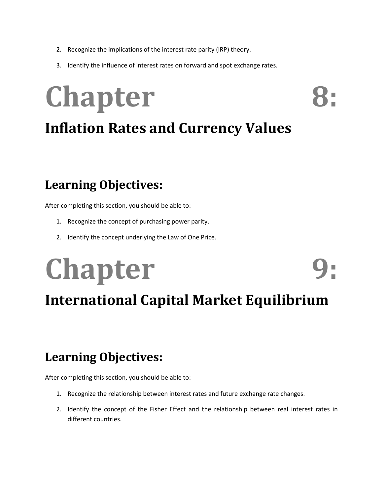- 2. Recognize the implications of the interest rate parity (IRP) theory.
- 3. Identify the influence of interest rates on forward and spot exchange rates.

## **Chapter Inflation Rates and Currency Values**

#### **Learning Objectives:**

After completing this section, you should be able to:

- 1. Recognize the concept of purchasing power parity.
- 2. Identify the concept underlying the Law of One Price.

## **Chapter International Capital Market Equilibrium**

#### **Learning Objectives:**

- 1. Recognize the relationship between interest rates and future exchange rate changes.
- 2. Identify the concept of the Fisher Effect and the relationship between real interest rates in different countries.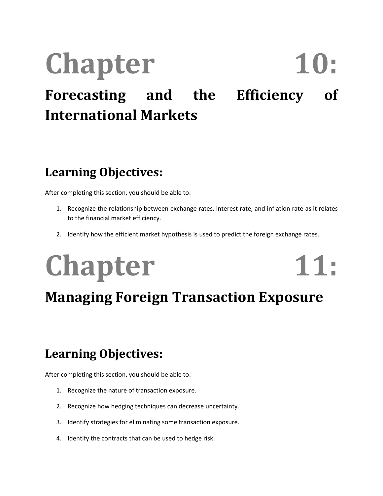### Chapter 10: **Forecasting and the Efficiency of International Markets**

#### **Learning Objectives:**

After completing this section, you should be able to:

- 1. Recognize the relationship between exchange rates, interest rate, and inflation rate as it relates to the financial market efficiency.
- 2. Identify how the efficient market hypothesis is used to predict the foreign exchange rates.

### **Chapter 11: Managing Foreign Transaction Exposure**

#### **Learning Objectives:**

- 1. Recognize the nature of transaction exposure.
- 2. Recognize how hedging techniques can decrease uncertainty.
- 3. Identify strategies for eliminating some transaction exposure.
- 4. Identify the contracts that can be used to hedge risk.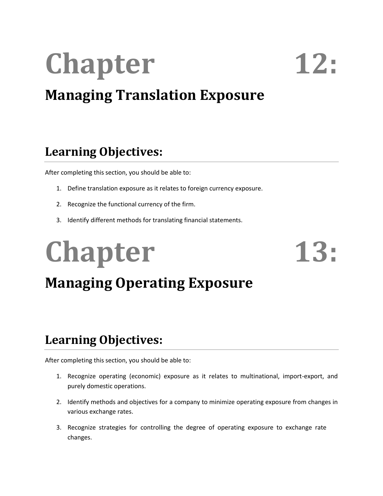# **Chapter 12:**

### **Managing Translation Exposure**

#### **Learning Objectives:**

After completing this section, you should be able to:

- 1. Define translation exposure as it relates to foreign currency exposure.
- 2. Recognize the functional currency of the firm.
- 3. Identify different methods for translating financial statements.

## Chapter 13:

### **Managing Operating Exposure**

#### **Learning Objectives:**

- 1. Recognize operating (economic) exposure as it relates to multinational, import-export, and purely domestic operations.
- 2. Identify methods and objectives for a company to minimize operating exposure from changes in various exchange rates.
- 3. Recognize strategies for controlling the degree of operating exposure to exchange rate changes.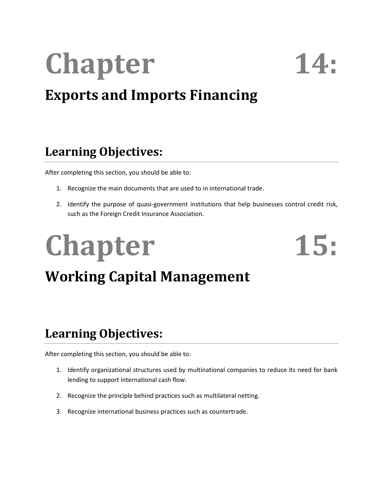# **Chapter 14:**

### **Exports and Imports Financing**

#### **Learning Objectives:**

After completing this section, you should be able to:

- 1. Recognize the main documents that are used to in international trade.
- 2. Identify the purpose of quasi-government institutions that help businesses control credit risk, such as the Foreign Credit Insurance Association.

## Chapter 15: **Working Capital Management**

#### **Learning Objectives:**

- 1. Identify organizational structures used by multinational companies to reduce its need for bank lending to support international cash flow.
- 2. Recognize the principle behind practices such as multilateral netting.
- 3. Recognize international business practices such as countertrade.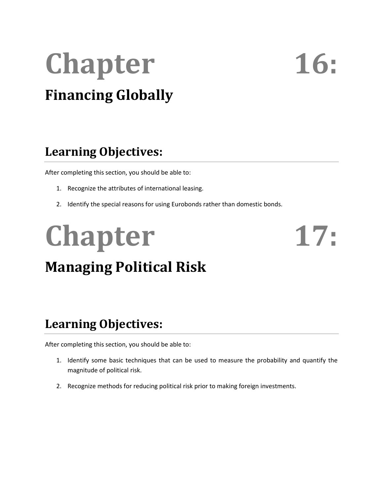## **Chapter 16: Financing Globally**

#### **Learning Objectives:**

After completing this section, you should be able to:

- 1. Recognize the attributes of international leasing.
- 2. Identify the special reasons for using Eurobonds rather than domestic bonds.

# Chapter 17:

### **Managing Political Risk**

#### **Learning Objectives:**

- 1. Identify some basic techniques that can be used to measure the probability and quantify the magnitude of political risk.
- 2. Recognize methods for reducing political risk prior to making foreign investments.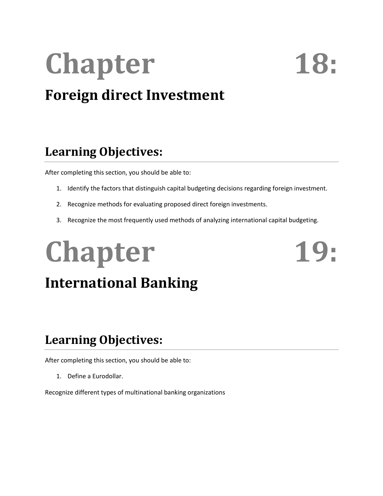# Chapter 18:

### **Foreign direct Investment**

#### **Learning Objectives:**

After completing this section, you should be able to:

- 1. Identify the factors that distinguish capital budgeting decisions regarding foreign investment.
- 2. Recognize methods for evaluating proposed direct foreign investments.
- 3. Recognize the most frequently used methods of analyzing international capital budgeting.

# Chapter 19:

### **International Banking**

#### **Learning Objectives:**

After completing this section, you should be able to:

1. Define a Eurodollar.

Recognize different types of multinational banking organizations